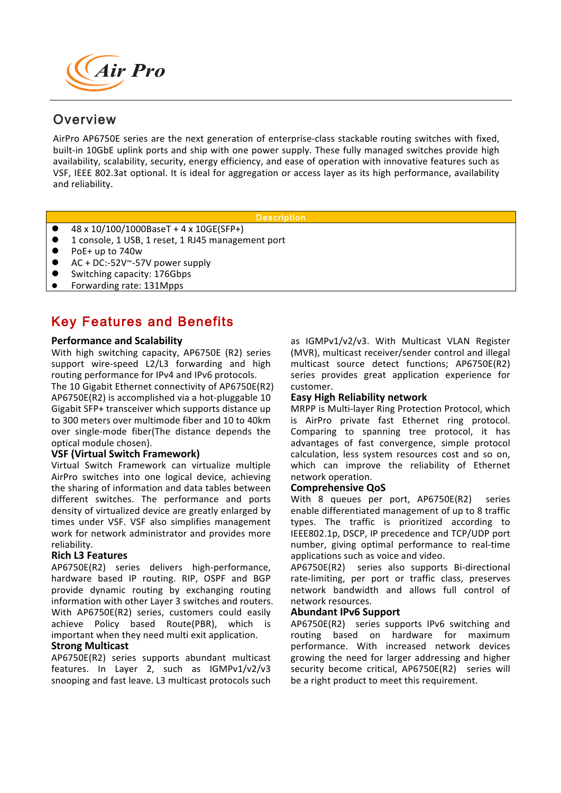

# **Overview**

availability, scalability, security, energy efficiency, and ease of operation with innovative features such as<br>VSF, IEEE 802.3at optional. It is ideal for aggregation or access layer as its high performance, availability AirPro AP6750E series are the next generation of enterprise-class stackable routing switches with fixed, built-in 10GbE uplink ports and ship with one power supply. These fully managed switches provide high availability, scalability, security, energy efficiency, and ease of operation with innovative features such as and reliability.

**Description** 

- $48 \times 10/100/1000B$ aseT + 4 x 10GE(SFP+)
- 1 console, 1 USB, 1 reset, 1 RJ45 management port
- $\bullet$  PoE+ up to 740w
- $AC + DC:-52V^* 57V$  power supply
- Switching capacity: 176Gbps
- Forwarding rate: 131Mpps

# Key Features and Benefits

#### **Performance and Scalability**

With high switching capacity, AP6750E (R2) series support wire-speed L2/L3 forwarding and high routing performance for IPv4 and IPv6 protocols.

The 10 Gigabit Ethernet connectivity of AP6750E(R2) AP6750E(R2) is accomplished via a hot-pluggable  $10$ Gigabit SFP+ transceiver which supports distance up to 300 meters over multimode fiber and 10 to 40km over single-mode fiber(The distance depends the optical module chosen).

## **VSF (Virtual Switch Framework)**

Virtual Switch Framework can virtualize multiple AirPro switches into one logical device, achieving the sharing of information and data tables between different switches. The performance and ports density of virtualized device are greatly enlarged by times under VSF. VSF also simplifies management work for network administrator and provides more reliability.

## **Rich L3 Features**

AP6750E(R2) series delivers high-performance, hardware based IP routing. RIP, OSPF and BGP provide dynamic routing by exchanging routing information with other Layer 3 switches and routers. With AP6750E(R2) series, customers could easily achieve Policy based Route(PBR), which is important when they need multi exit application.

#### **Strong Multicast**

AP6750E(R2) series supports abundant multicast features. In Layer 2, such as IGMPv1/v2/v3 snooping and fast leave. L3 multicast protocols such as IGMPv1/v2/v3. With Multicast VLAN Register (MVR), multicast receiver/sender control and illegal multicast source detect functions; AP6750E(R2) series provides great application experience for customer.

# **Easy High Reliability network**

MRPP is Multi-layer Ring Protection Protocol, which is AirPro private fast Ethernet ring protocol. Comparing to spanning tree protocol, it has advantages of fast convergence, simple protocol calculation, less system resources cost and so on, which can improve the reliability of Ethernet network operation. 

#### **Comprehensive QoS**

With 8 queues per port, AP6750E(R2) series enable differentiated management of up to 8 traffic types. The traffic is prioritized according to IEEE802.1p, DSCP, IP precedence and TCP/UDP port number, giving optimal performance to real-time applications such as voice and video.

AP6750E(R2) series also supports Bi-directional rate-limiting, per port or traffic class, preserves network bandwidth and allows full control of network resources.

#### **Abundant IPv6 Support**

AP6750E(R2) series supports IPv6 switching and routing based on hardware for maximum performance. With increased network devices growing the need for larger addressing and higher security become critical, AP6750E(R2) series will be a right product to meet this requirement.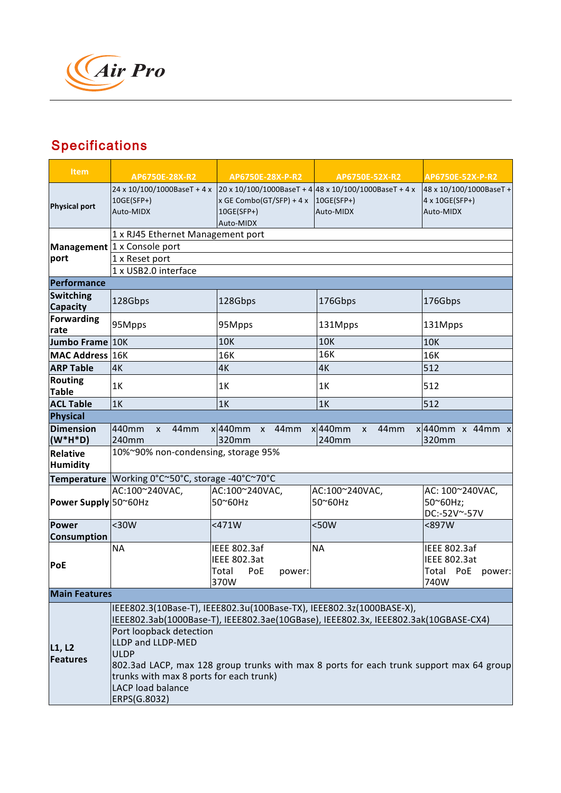

# **Specifications**

| <b>Item</b>                    | AP6750E-28X-R2                                                                          | AP6750E-28X-P-R2                                    | AP6750E-52X-R2                                                                                                 | AP6750E-52X-P-R2                                       |  |
|--------------------------------|-----------------------------------------------------------------------------------------|-----------------------------------------------------|----------------------------------------------------------------------------------------------------------------|--------------------------------------------------------|--|
| <b>Physical port</b>           | 10GE(SFP+)<br>Auto-MIDX                                                                 | x GE Combo(GT/SFP) + 4 x<br>10GE(SFP+)<br>Auto-MIDX | 24 x 10/100/1000BaseT + 4 x 20 x 10/100/1000BaseT + 4 48 x 10/100/1000BaseT + 4 x<br>$10GE(SFP+)$<br>Auto-MIDX | 48 x 10/100/1000BaseT +<br>4 x 10GE(SFP+)<br>Auto-MIDX |  |
|                                | 1 x RJ45 Ethernet Management port                                                       |                                                     |                                                                                                                |                                                        |  |
|                                | Management  1 x Console port                                                            |                                                     |                                                                                                                |                                                        |  |
| port                           | 1 x Reset port                                                                          |                                                     |                                                                                                                |                                                        |  |
|                                | 1 x USB2.0 interface                                                                    |                                                     |                                                                                                                |                                                        |  |
| Performance                    |                                                                                         |                                                     |                                                                                                                |                                                        |  |
| <b>Switching</b><br>Capacity   | 128Gbps                                                                                 | 128Gbps                                             | 176Gbps                                                                                                        | 176Gbps                                                |  |
| <b>Forwarding</b>              |                                                                                         |                                                     |                                                                                                                |                                                        |  |
| rate                           | 95Mpps                                                                                  | 95Mpps                                              | 131Mpps                                                                                                        | 131Mpps                                                |  |
| Jumbo Frame 10K                |                                                                                         | <b>10K</b>                                          | <b>10K</b>                                                                                                     | <b>10K</b>                                             |  |
| MAC Address 16K                |                                                                                         | 16K                                                 | 16K                                                                                                            | 16K                                                    |  |
| <b>ARP Table</b>               | 4K                                                                                      | 4K                                                  | 4K                                                                                                             | 512                                                    |  |
| <b>Routing</b><br><b>Table</b> | 1K                                                                                      | 1K                                                  | 1K                                                                                                             | 512                                                    |  |
| <b>ACL Table</b>               | 1K                                                                                      | 1K                                                  | 1K                                                                                                             | 512                                                    |  |
| <b>Physical</b>                |                                                                                         |                                                     |                                                                                                                |                                                        |  |
| <b>Dimension</b>               | 440mm<br>44 <sub>mm</sub><br>X                                                          | $x 440$ mm<br>44 <sub>mm</sub><br>$\mathsf{X}$      | $x 440$ mm<br>44mm<br>$\mathsf{x}$                                                                             | $x$ 440mm x 44mm x                                     |  |
| $(W^*H^*D)$                    | 240mm                                                                                   | 320mm                                               | 240mm                                                                                                          | 320mm                                                  |  |
| <b>Relative</b><br>Humidity    | 10%~90% non-condensing, storage 95%                                                     |                                                     |                                                                                                                |                                                        |  |
|                                | Temperature   Working 0°C~50°C, storage -40°C~70°C                                      |                                                     |                                                                                                                |                                                        |  |
| Power Supply 50~60Hz           | AC:100~240VAC,                                                                          | AC:100~240VAC,<br>50~60Hz                           | AC:100~240VAC,<br>50~60Hz                                                                                      | AC: 100~240VAC,<br>50~60Hz;<br>DC:-52V~-57V            |  |
| <b>Power</b><br>Consumption    | $30W$                                                                                   | $<$ 471W                                            | $50W$                                                                                                          | <897W                                                  |  |
| <b>PoE</b>                     | <b>NA</b>                                                                               | <b>IEEE 802.3af</b><br><b>IEEE 802.3at</b>          | <b>NA</b>                                                                                                      | <b>IEEE 802.3af</b><br><b>IEEE 802.3at</b>             |  |
|                                |                                                                                         | Total<br>PoE<br>power:<br>370W                      |                                                                                                                | Total PoE power:<br>740W                               |  |
| <b>Main Features</b>           |                                                                                         |                                                     |                                                                                                                |                                                        |  |
|                                | IEEE802.3(10Base-T), IEEE802.3u(100Base-TX), IEEE802.3z(1000BASE-X),                    |                                                     |                                                                                                                |                                                        |  |
|                                | IEEE802.3ab(1000Base-T), IEEE802.3ae(10GBase), IEEE802.3x, IEEE802.3ak(10GBASE-CX4)     |                                                     |                                                                                                                |                                                        |  |
| L1, L2<br><b>Features</b>      | Port loopback detection<br>LLDP and LLDP-MED                                            |                                                     |                                                                                                                |                                                        |  |
|                                | <b>ULDP</b>                                                                             |                                                     |                                                                                                                |                                                        |  |
|                                | 802.3ad LACP, max 128 group trunks with max 8 ports for each trunk support max 64 group |                                                     |                                                                                                                |                                                        |  |
|                                | trunks with max 8 ports for each trunk)                                                 |                                                     |                                                                                                                |                                                        |  |
|                                | <b>LACP load balance</b>                                                                |                                                     |                                                                                                                |                                                        |  |
|                                | ERPS(G.8032)                                                                            |                                                     |                                                                                                                |                                                        |  |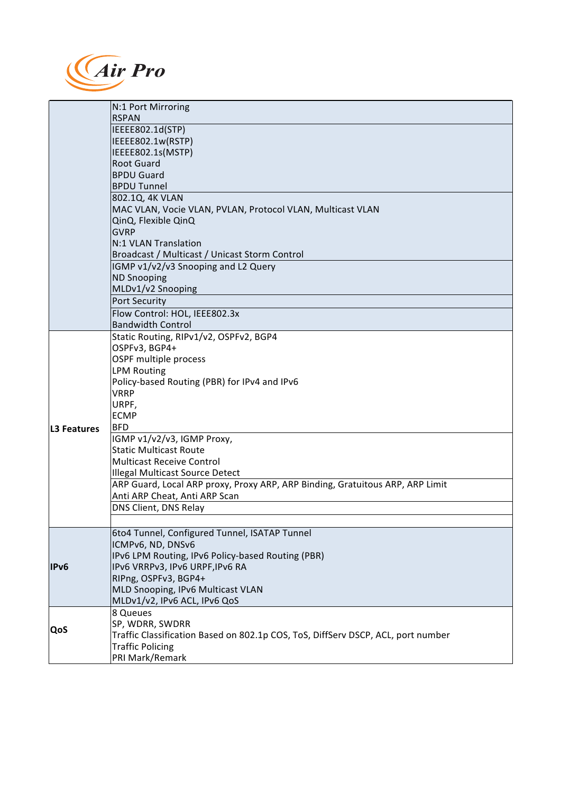

| N:1 Port Mirroring                                                                      |  |
|-----------------------------------------------------------------------------------------|--|
| <b>RSPAN</b>                                                                            |  |
| IEEEE802.1d(STP)                                                                        |  |
| IEEEE802.1w(RSTP)                                                                       |  |
| IEEEE802.1s(MSTP)                                                                       |  |
| <b>Root Guard</b>                                                                       |  |
| <b>BPDU Guard</b>                                                                       |  |
| <b>BPDU Tunnel</b>                                                                      |  |
| 802.1Q, 4K VLAN                                                                         |  |
| MAC VLAN, Vocie VLAN, PVLAN, Protocol VLAN, Multicast VLAN                              |  |
| QinQ, Flexible QinQ                                                                     |  |
| <b>GVRP</b>                                                                             |  |
| N:1 VLAN Translation                                                                    |  |
| Broadcast / Multicast / Unicast Storm Control                                           |  |
| IGMP v1/v2/v3 Snooping and L2 Query                                                     |  |
| <b>ND Snooping</b>                                                                      |  |
| MLDv1/v2 Snooping                                                                       |  |
| <b>Port Security</b>                                                                    |  |
| Flow Control: HOL, IEEE802.3x                                                           |  |
| <b>Bandwidth Control</b>                                                                |  |
| Static Routing, RIPv1/v2, OSPFv2, BGP4                                                  |  |
| OSPFv3, BGP4+                                                                           |  |
| OSPF multiple process                                                                   |  |
| <b>LPM Routing</b>                                                                      |  |
| Policy-based Routing (PBR) for IPv4 and IPv6                                            |  |
| <b>VRRP</b>                                                                             |  |
| URPF,                                                                                   |  |
| <b>ECMP</b>                                                                             |  |
| <b>BFD</b><br>L3 Features                                                               |  |
| IGMP v1/v2/v3, IGMP Proxy,<br><b>Static Multicast Route</b>                             |  |
| <b>Multicast Receive Control</b>                                                        |  |
| Illegal Multicast Source Detect                                                         |  |
| ARP Guard, Local ARP proxy, Proxy ARP, ARP Binding, Gratuitous ARP, ARP Limit           |  |
| Anti ARP Cheat, Anti ARP Scan                                                           |  |
| DNS Client, DNS Relay                                                                   |  |
|                                                                                         |  |
| 6to4 Tunnel, Configured Tunnel, ISATAP Tunnel                                           |  |
| ICMPv6, ND, DNSv6                                                                       |  |
| IPv6 LPM Routing, IPv6 Policy-based Routing (PBR)                                       |  |
| IPv6<br>IPv6 VRRPv3, IPv6 URPF, IPv6 RA                                                 |  |
| RIPng, OSPFv3, BGP4+                                                                    |  |
| MLD Snooping, IPv6 Multicast VLAN                                                       |  |
| MLDv1/v2, IPv6 ACL, IPv6 QoS                                                            |  |
| 8 Queues                                                                                |  |
| SP, WDRR, SWDRR                                                                         |  |
| QoS<br>Traffic Classification Based on 802.1p COS, ToS, DiffServ DSCP, ACL, port number |  |
| <b>Traffic Policing</b>                                                                 |  |
| PRI Mark/Remark                                                                         |  |